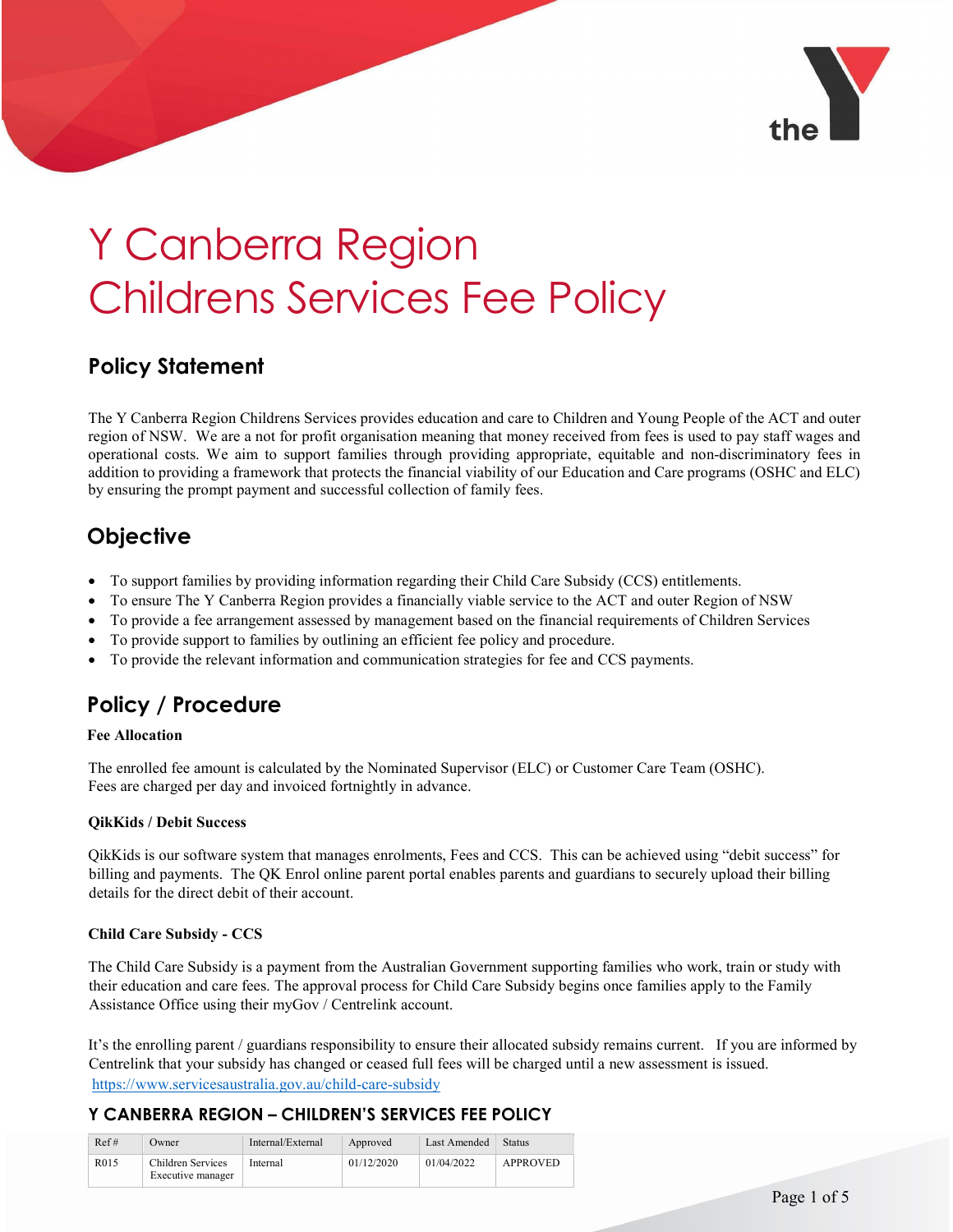

# Y Canberra Region Childrens Services Fee Policy

# Policy Statement

The Y Canberra Region Childrens Services provides education and care to Children and Young People of the ACT and outer region of NSW. We are a not for profit organisation meaning that money received from fees is used to pay staff wages and operational costs. We aim to support families through providing appropriate, equitable and non-discriminatory fees in addition to providing a framework that protects the financial viability of our Education and Care programs (OSHC and ELC) by ensuring the prompt payment and successful collection of family fees.

# **Objective**

- To support families by providing information regarding their Child Care Subsidy (CCS) entitlements.
- To ensure The Y Canberra Region provides a financially viable service to the ACT and outer Region of NSW
- To provide a fee arrangement assessed by management based on the financial requirements of Children Services
- To provide support to families by outlining an efficient fee policy and procedure.
- To provide the relevant information and communication strategies for fee and CCS payments.

# Policy / Procedure

#### Fee Allocation

The enrolled fee amount is calculated by the Nominated Supervisor (ELC) or Customer Care Team (OSHC). Fees are charged per day and invoiced fortnightly in advance.

#### QikKids / Debit Success

QikKids is our software system that manages enrolments, Fees and CCS. This can be achieved using "debit success" for billing and payments. The QK Enrol online parent portal enables parents and guardians to securely upload their billing details for the direct debit of their account.

#### Child Care Subsidy - CCS

The Child Care Subsidy is a payment from the Australian Government supporting families who work, train or study with their education and care fees. The approval process for Child Care Subsidy begins once families apply to the Family Assistance Office using their myGov / Centrelink account.

It's the enrolling parent / guardians responsibility to ensure their allocated subsidy remains current. If you are informed by Centrelink that your subsidy has changed or ceased full fees will be charged until a new assessment is issued. https://www.servicesaustralia.gov.au/child-care-subsidy

| Ref# | Owner                                  | Internal/External | Approved   | Last Amended | <b>Status</b> |
|------|----------------------------------------|-------------------|------------|--------------|---------------|
| R015 | Children Services<br>Executive manager | Internal          | 01/12/2020 | 01/04/2022   | APPROVED      |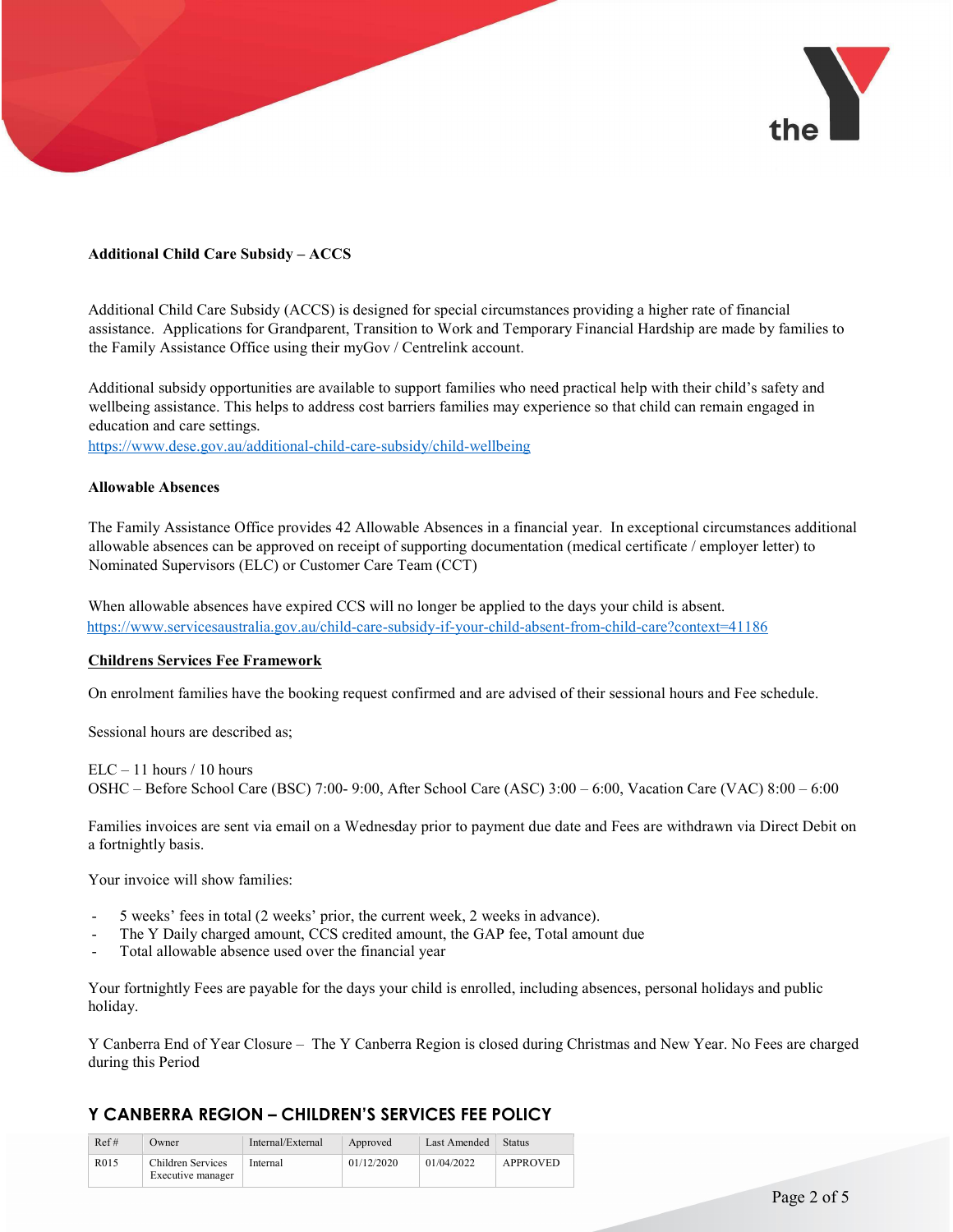

#### Additional Child Care Subsidy – ACCS

Additional Child Care Subsidy (ACCS) is designed for special circumstances providing a higher rate of financial assistance. Applications for Grandparent, Transition to Work and Temporary Financial Hardship are made by families to the Family Assistance Office using their myGov / Centrelink account.

Additional subsidy opportunities are available to support families who need practical help with their child's safety and wellbeing assistance. This helps to address cost barriers families may experience so that child can remain engaged in education and care settings.

https://www.dese.gov.au/additional-child-care-subsidy/child-wellbeing

#### Allowable Absences

The Family Assistance Office provides 42 Allowable Absences in a financial year. In exceptional circumstances additional allowable absences can be approved on receipt of supporting documentation (medical certificate / employer letter) to Nominated Supervisors (ELC) or Customer Care Team (CCT)

When allowable absences have expired CCS will no longer be applied to the days your child is absent. https://www.servicesaustralia.gov.au/child-care-subsidy-if-your-child-absent-from-child-care?context=41186

#### Childrens Services Fee Framework

On enrolment families have the booking request confirmed and are advised of their sessional hours and Fee schedule.

Sessional hours are described as;

 $ELC - 11$  hours / 10 hours OSHC – Before School Care (BSC) 7:00- 9:00, After School Care (ASC) 3:00 – 6:00, Vacation Care (VAC) 8:00 – 6:00

Families invoices are sent via email on a Wednesday prior to payment due date and Fees are withdrawn via Direct Debit on a fortnightly basis.

Your invoice will show families:

- 5 weeks' fees in total (2 weeks' prior, the current week, 2 weeks in advance).
- The Y Daily charged amount, CCS credited amount, the GAP fee, Total amount due
- Total allowable absence used over the financial year

Your fortnightly Fees are payable for the days your child is enrolled, including absences, personal holidays and public holiday.

Y Canberra End of Year Closure – The Y Canberra Region is closed during Christmas and New Year. No Fees are charged during this Period

| Ref#              | Owner                                  | Internal/External | Approved   | Last Amended | <b>Status</b> |
|-------------------|----------------------------------------|-------------------|------------|--------------|---------------|
| R <sub>0</sub> 15 | Children Services<br>Executive manager | Internal          | 01/12/2020 | 01/04/2022   | APPROVED      |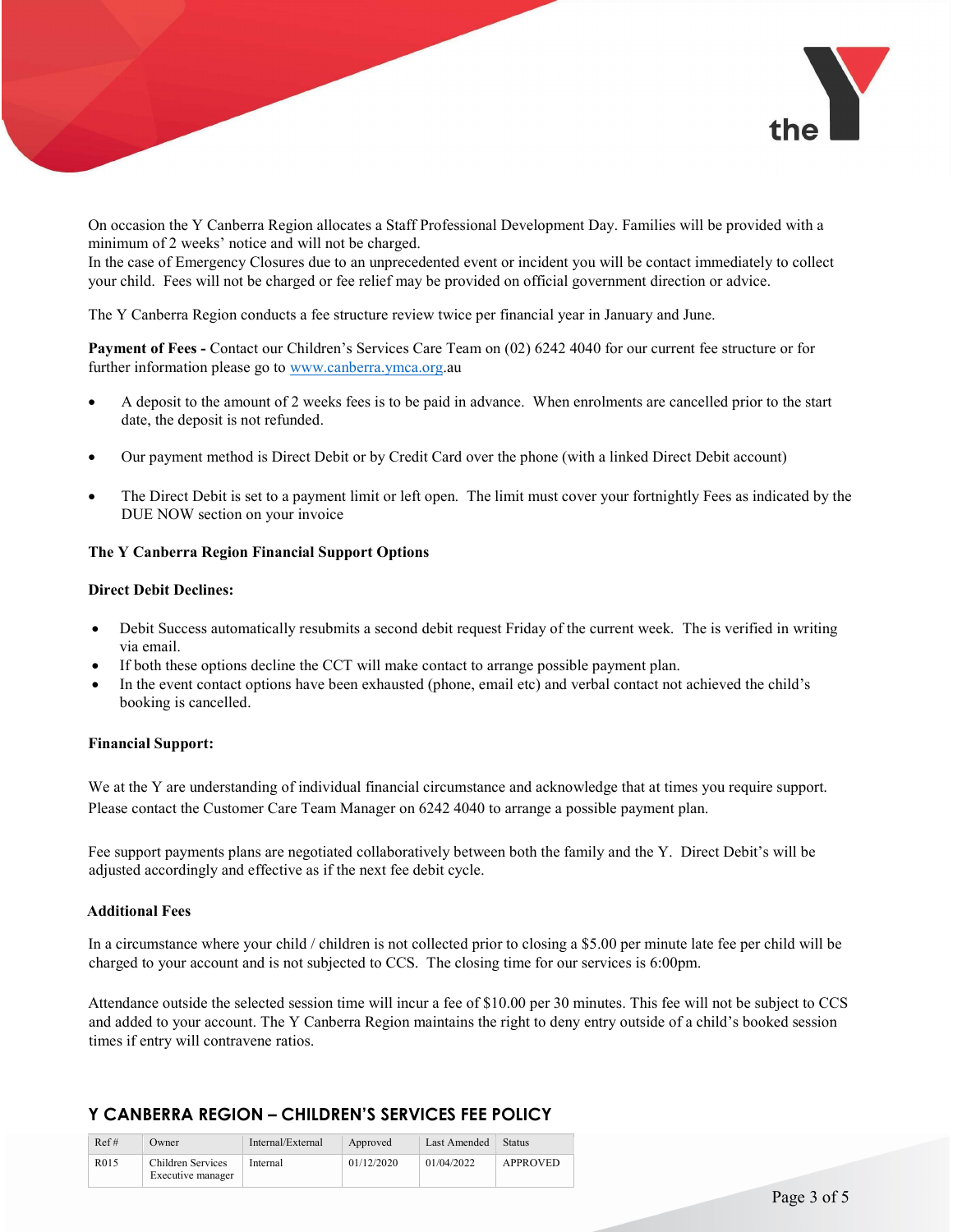

On occasion the Y Canberra Region allocates a Staff Professional Development Day. Families will be provided with a minimum of 2 weeks' notice and will not be charged.

In the case of Emergency Closures due to an unprecedented event or incident you will be contact immediately to collect your child. Fees will not be charged or fee relief may be provided on official government direction or advice.

The Y Canberra Region conducts a fee structure review twice per financial year in January and June.

Payment of Fees - Contact our Children's Services Care Team on (02) 6242 4040 for our current fee structure or for further information please go to www.canberra.ymca.org.au

- A deposit to the amount of 2 weeks fees is to be paid in advance. When enrolments are cancelled prior to the start date, the deposit is not refunded.
- Our payment method is Direct Debit or by Credit Card over the phone (with a linked Direct Debit account)
- The Direct Debit is set to a payment limit or left open. The limit must cover your fortnightly Fees as indicated by the DUE NOW section on your invoice

#### The Y Canberra Region Financial Support Options

#### Direct Debit Declines:

- Debit Success automatically resubmits a second debit request Friday of the current week. The is verified in writing via email.
- If both these options decline the CCT will make contact to arrange possible payment plan.
- In the event contact options have been exhausted (phone, email etc) and verbal contact not achieved the child's booking is cancelled.

#### Financial Support:

We at the Y are understanding of individual financial circumstance and acknowledge that at times you require support. Please contact the Customer Care Team Manager on 6242 4040 to arrange a possible payment plan.

Fee support payments plans are negotiated collaboratively between both the family and the Y. Direct Debit's will be adjusted accordingly and effective as if the next fee debit cycle.

#### Additional Fees

In a circumstance where your child / children is not collected prior to closing a \$5.00 per minute late fee per child will be charged to your account and is not subjected to CCS. The closing time for our services is 6:00pm.

Attendance outside the selected session time will incur a fee of \$10.00 per 30 minutes. This fee will not be subject to CCS and added to your account. The Y Canberra Region maintains the right to deny entry outside of a child's booked session times if entry will contravene ratios.

| Ref# | Owner                                  | Internal/External | Approved   | Last Amended | Status   |
|------|----------------------------------------|-------------------|------------|--------------|----------|
| R015 | Children Services<br>Executive manager | Internal          | 01/12/2020 | 01/04/2022   | APPROVED |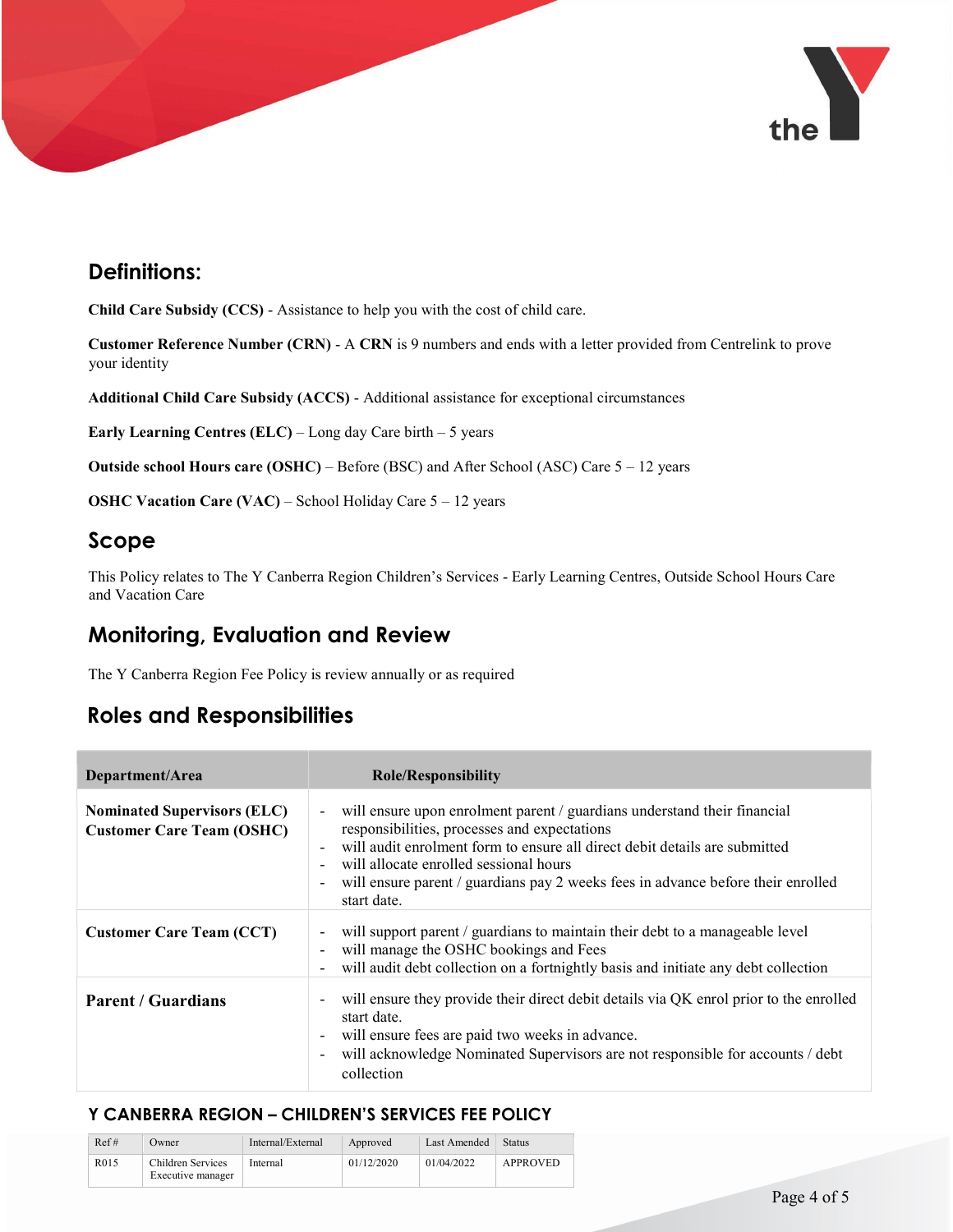

# Definitions:

Child Care Subsidy (CCS) - Assistance to help you with the cost of child care.

Customer Reference Number (CRN) - A CRN is 9 numbers and ends with a letter provided from Centrelink to prove your identity

Additional Child Care Subsidy (ACCS) - Additional assistance for exceptional circumstances

Early Learning Centres (ELC) – Long day Care birth – 5 years

Outside school Hours care (OSHC) – Before (BSC) and After School (ASC) Care 5 – 12 years

OSHC Vacation Care (VAC) – School Holiday Care 5 – 12 years

## Scope

This Policy relates to The Y Canberra Region Children's Services - Early Learning Centres, Outside School Hours Care and Vacation Care

## Monitoring, Evaluation and Review

The Y Canberra Region Fee Policy is review annually or as required

# Roles and Responsibilities

| Department/Area                                                        | <b>Role/Responsibility</b>                                                                                                                                                                                                                                                                                                                            |  |  |
|------------------------------------------------------------------------|-------------------------------------------------------------------------------------------------------------------------------------------------------------------------------------------------------------------------------------------------------------------------------------------------------------------------------------------------------|--|--|
| <b>Nominated Supervisors (ELC)</b><br><b>Customer Care Team (OSHC)</b> | - will ensure upon enrolment parent / guardians understand their financial<br>responsibilities, processes and expectations<br>will audit enrolment form to ensure all direct debit details are submitted<br>will allocate enrolled sessional hours<br>will ensure parent / guardians pay 2 weeks fees in advance before their enrolled<br>start date. |  |  |
| <b>Customer Care Team (CCT)</b>                                        | will support parent / guardians to maintain their debt to a manageable level<br>will manage the OSHC bookings and Fees<br>will audit debt collection on a fortnightly basis and initiate any debt collection                                                                                                                                          |  |  |
| <b>Parent / Guardians</b>                                              | will ensure they provide their direct debit details via QK enrol prior to the enrolled<br>start date.<br>will ensure fees are paid two weeks in advance.<br>will acknowledge Nominated Supervisors are not responsible for accounts / debt<br>collection                                                                                              |  |  |

| Ref#              | Owner                                  | Internal/External | Approved   | Last Amended | Status   |
|-------------------|----------------------------------------|-------------------|------------|--------------|----------|
| R <sub>0</sub> 15 | Children Services<br>Executive manager | Internal          | 01/12/2020 | 01/04/2022   | APPROVED |